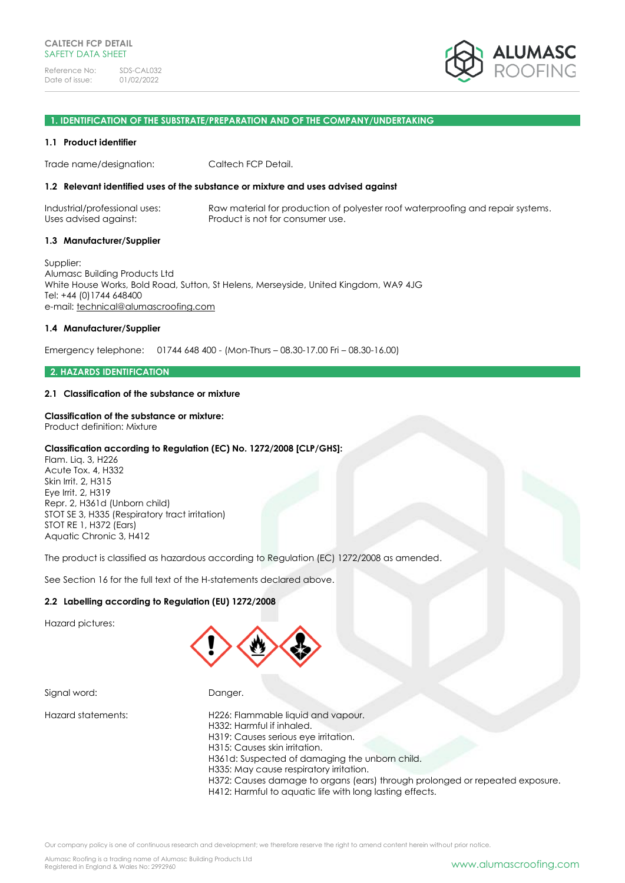

#### **1. IDENTIFICATION OF THE SUBSTRATE/PREPARATION AND OF THE COMPANY/UNDERTAKING**

#### **1.1 Product identifier**

Trade name/designation: Caltech FCP Detail.

# **1.2 Relevant identified uses of the substance or mixture and uses advised against**

Industrial/professional uses: Raw material for production of polyester roof waterproofing and repair systems. Uses advised against: Product is not for consumer use.

#### **1.3 Manufacturer/Supplier**

Supplier: Alumasc Building Products Ltd White House Works, Bold Road, Sutton, St Helens, Merseyside, United Kingdom, WA9 4JG Tel: +44 (0)1744 648400 e-mail: [technical@alumascroofing.com](mailto:technical@alumascroofing.com)

# **1.4 Manufacturer/Supplier**

Emergency telephone: 01744 648 400 - (Mon-Thurs – 08.30-17.00 Fri – 08.30-16.00)

### **2. HAZARDS IDENTIFICATION**

# **2.1 Classification of the substance or mixture**

#### **Classification of the substance or mixture:**

Product definition: Mixture

# **Classification according to Regulation (EC) No. 1272/2008 [CLP/GHS]:**

Flam. Liq. 3, H226 Acute Tox. 4, H332 Skin Irrit. 2, H315 Eye Irrit. 2, H319 Repr. 2, H361d (Unborn child) STOT SE 3, H335 (Respiratory tract irritation) STOT RE 1, H372 (Ears) Aquatic Chronic 3, H412

The product is classified as hazardous according to Regulation (EC) 1272/2008 as amended.

See Section 16 for the full text of the H-statements declared above.

# **2.2 Labelling according to Regulation (EU) 1272/2008**

Hazard pictures:



Signal word: Danger.

Hazard statements: H226: Flammable liquid and vapour. H332: Harmful if inhaled. H319: Causes serious eye irritation. H315: Causes skin irritation. H361d: Suspected of damaging the unborn child. H335: May cause respiratory irritation. H372: Causes damage to organs (ears) through prolonged or repeated exposure. H412: Harmful to aquatic life with long lasting effects.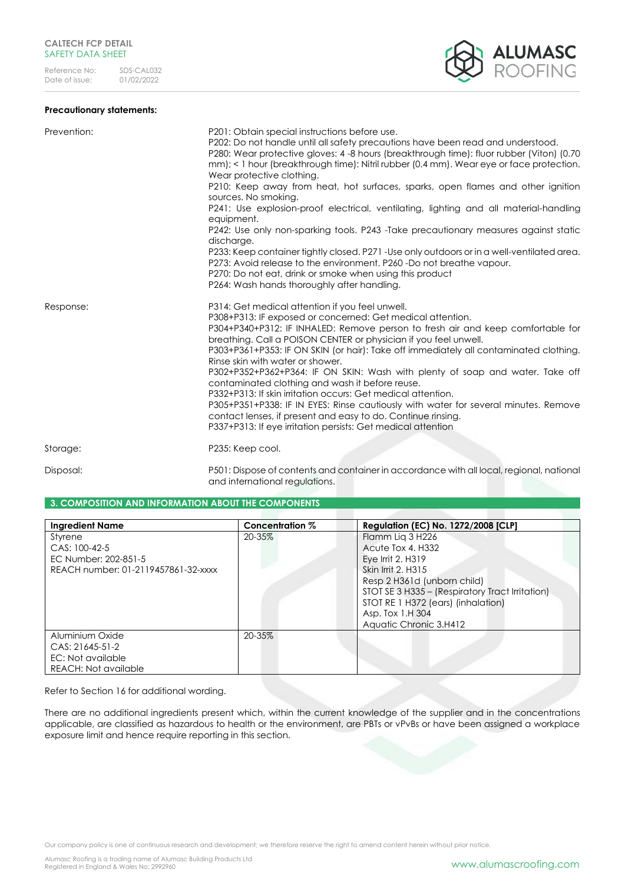# **Precautionary statements:**

| <b>ED ALUMASC</b> |
|-------------------|
|                   |

| Prevention: | P201: Obtain special instructions before use.<br>P202: Do not handle until all safety precautions have been read and understood.<br>P280: Wear protective gloves: 4 -8 hours (breakthrough time): fluor rubber (Viton) (0.70<br>mm); < 1 hour (breakthrough time): Nitril rubber (0.4 mm). Wear eye or face protection.<br>Wear protective clothing.<br>P210: Keep away from heat, hot surfaces, sparks, open flames and other ignition<br>sources. No smoking.<br>P241: Use explosion-proof electrical, ventilating, lighting and all material-handling<br>equipment.<br>P242: Use only non-sparking tools. P243 -Take precautionary measures against static<br>discharge.<br>P233: Keep container tightly closed. P271 - Use only outdoors or in a well-ventilated area.<br>P273: Avoid release to the environment, P260 -Do not breathe vapour.<br>P270: Do not eat, drink or smoke when using this product |
|-------------|----------------------------------------------------------------------------------------------------------------------------------------------------------------------------------------------------------------------------------------------------------------------------------------------------------------------------------------------------------------------------------------------------------------------------------------------------------------------------------------------------------------------------------------------------------------------------------------------------------------------------------------------------------------------------------------------------------------------------------------------------------------------------------------------------------------------------------------------------------------------------------------------------------------|
| Response:   | P264: Wash hands thoroughly after handling.<br>P314: Get medical attention if you feel unwell.<br>P308+P313: IF exposed or concerned: Get medical attention.<br>P304+P340+P312: IF INHALED: Remove person to fresh air and keep comfortable for<br>breathing. Call a POISON CENTER or physician if you feel unwell.<br>P303+P361+P353: IF ON SKIN (or hair): Take off immediately all contaminated clothing.<br>Rinse skin with water or shower.<br>P302+P352+P362+P364: IF ON SKIN: Wash with plenty of soap and water. Take off<br>contaminated clothing and wash it before reuse.<br>P332+P313: If skin irritation occurs: Get medical attention.<br>P305+P351+P338: IF IN EYES: Rinse cautiously with water for several minutes. Remove<br>contact lenses, if present and easy to do. Continue rinsing.<br>P337+P313: If eye irritation persists: Get medical attention                                    |
| Storage:    | P235: Keep cool.                                                                                                                                                                                                                                                                                                                                                                                                                                                                                                                                                                                                                                                                                                                                                                                                                                                                                               |

Disposal: P501: Dispose of contents and container in accordance with all local, regional, national and international regulations.

# **3. COMPOSITION AND INFORMATION ABOUT THE COMPONENTS**

| <b>Ingredient Name</b>              | Concentration % | <b>Regulation (EC) No. 1272/2008 [CLP]</b>      |
|-------------------------------------|-----------------|-------------------------------------------------|
| Styrene                             | 20-35%          | Flamm Lig 3 H226                                |
| CAS: 100-42-5                       |                 | Acute Tox 4. H332                               |
| EC Number: 202-851-5                |                 | Eye Irrit 2, H319                               |
| REACH number: 01-2119457861-32-xxxx |                 | <b>Skin Irrit 2. H315</b>                       |
|                                     |                 | Resp 2 H361d (unborn child)                     |
|                                     |                 | STOT SE 3 H335 - (Respiratory Tract Irritation) |
|                                     |                 | STOT RE 1 H372 (ears) (inhalation)              |
|                                     |                 | Asp. Tox 1.H 304                                |
|                                     |                 | Aquatic Chronic 3.H412                          |
| Aluminium Oxide                     | 20-35%          |                                                 |
| $CAS: 21645-51-2$                   |                 |                                                 |
| EC: Not available                   |                 |                                                 |
| REACH: Not available                |                 |                                                 |

Refer to Section 16 for additional wording.

There are no additional ingredients present which, within the current knowledge of the supplier and in the concentrations applicable, are classified as hazardous to health or the environment, are PBTs or vPvBs or have been assigned a workplace exposure limit and hence require reporting in this section.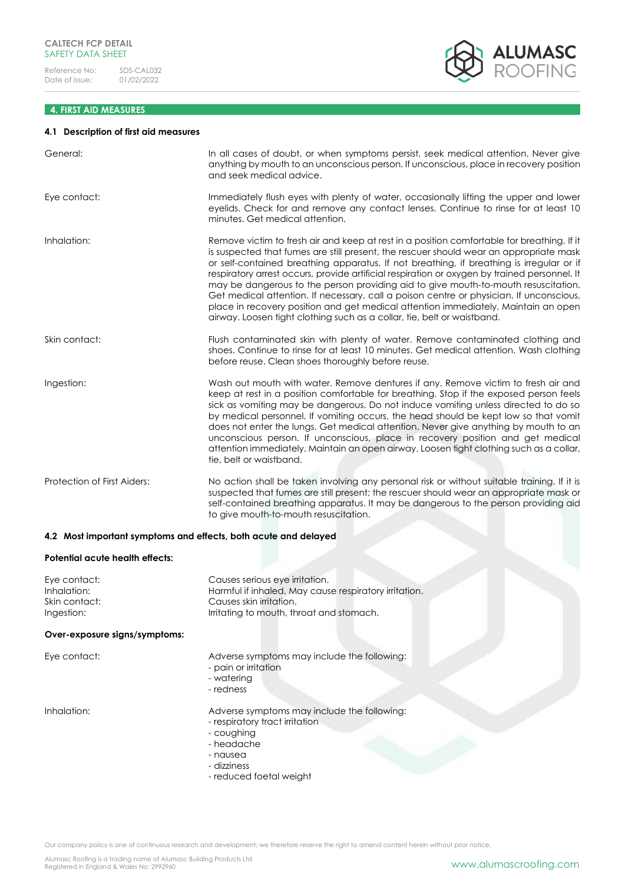# **4. FIRST AID MEASURES**

# **4.1 Description of first aid measures**

| General:                    | In all cases of doubt, or when symptoms persist, seek medical attention. Never give<br>anything by mouth to an unconscious person. If unconscious, place in recovery position<br>and seek medical advice.                                                                                                                                                                                                                                                                                                                                                                                                                                                                                                                          |
|-----------------------------|------------------------------------------------------------------------------------------------------------------------------------------------------------------------------------------------------------------------------------------------------------------------------------------------------------------------------------------------------------------------------------------------------------------------------------------------------------------------------------------------------------------------------------------------------------------------------------------------------------------------------------------------------------------------------------------------------------------------------------|
| Eye contact:                | Immediately flush eyes with plenty of water, occasionally lifting the upper and lower<br>eyelids. Check for and remove any contact lenses. Continue to rinse for at least 10<br>minutes. Get medical attention.                                                                                                                                                                                                                                                                                                                                                                                                                                                                                                                    |
| Inhalation:                 | Remove victim to fresh air and keep at rest in a position comfortable for breathing. If it<br>is suspected that fumes are still present, the rescuer should wear an appropriate mask<br>or self-contained breathing apparatus. If not breathing, if breathing is irregular or if<br>respiratory arrest occurs, provide artificial respiration or oxygen by trained personnel. It<br>may be dangerous to the person providing aid to give mouth-to-mouth resuscitation.<br>Get medical attention. If necessary, call a poison centre or physician. If unconscious,<br>place in recovery position and get medical attention immediately. Maintain an open<br>airway. Loosen tight clothing such as a collar, tie, belt or waistband. |
| Skin contact:               | Flush contaminated skin with plenty of water. Remove contaminated clothing and<br>shoes. Continue to rinse for at least 10 minutes. Get medical attention. Wash clothing<br>before reuse. Clean shoes thoroughly before reuse.                                                                                                                                                                                                                                                                                                                                                                                                                                                                                                     |
| Ingestion:                  | Wash out mouth with water. Remove dentures if any. Remove victim to fresh air and<br>keep at rest in a position comfortable for breathing. Stop if the exposed person feels<br>sick as vomiting may be dangerous. Do not induce vomiting unless directed to do so<br>by medical personnel. If vomiting occurs, the head should be kept low so that vomit<br>does not enter the lungs. Get medical attention. Never give anything by mouth to an<br>unconscious person. If unconscious, place in recovery position and get medical<br>attention immediately. Maintain an open airway. Loosen tight clothing such as a collar,<br>tie, belt or waistband.                                                                            |
| Protection of First Aiders: | No action shall be taken involving any personal risk or without suitable training. If it is<br>suspected that fumes are still present; the rescuer should wear an appropriate mask or<br>self-contained breathing apparatus. It may be dangerous to the person providing aid<br>to give mouth-to-mouth resuscitation.                                                                                                                                                                                                                                                                                                                                                                                                              |
|                             | 4.2 Most important symptoms and effects, both acute and delayed                                                                                                                                                                                                                                                                                                                                                                                                                                                                                                                                                                                                                                                                    |

### **Potential acute health effects:**

| Causes serious eye irritation.                        |
|-------------------------------------------------------|
| Harmful if inhaled. May cause respiratory irritation. |
| Causes skin irritation.                               |
| Irritating to mouth, throat and stomach.              |
|                                                       |

# **Over-exposure signs/symptoms:**

| Eye contact: | Adverse symptoms may include the following: |
|--------------|---------------------------------------------|
|              | - pain or irritation                        |
|              | - waterina                                  |
|              | - redness                                   |

Inhalation: Adverse symptoms may include the following:

- respiratory tract irritation
- coughing
- headache
- nausea
- dizziness
- reduced foetal weight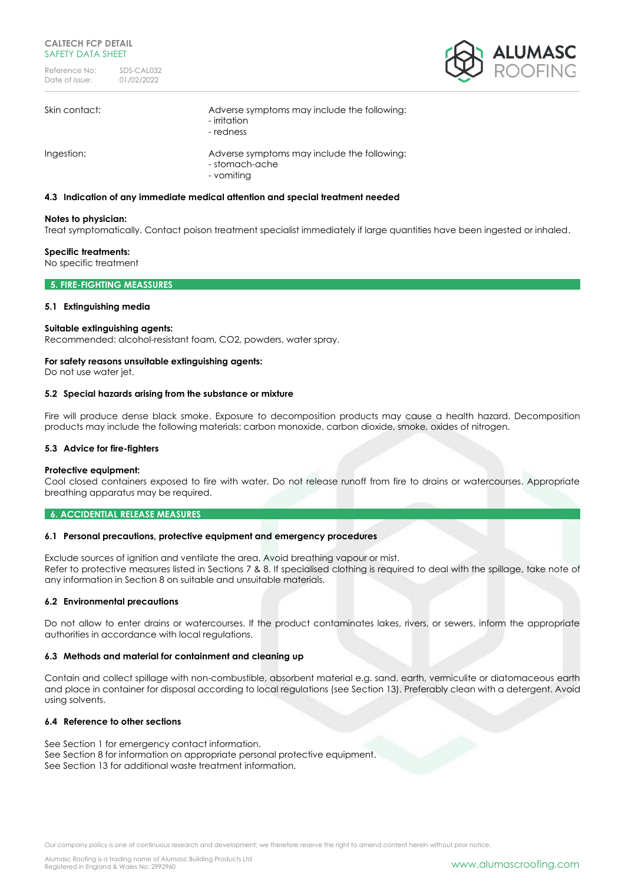

| Skin contact: | Adverse symptoms may include the following:<br>- irritation<br>- redness    |
|---------------|-----------------------------------------------------------------------------|
| Ingestion:    | Adverse symptoms may include the following:<br>- stomach-ache<br>- vomiting |

# **4.3 Indication of any immediate medical attention and special treatment needed**

#### **Notes to physician:**

Treat symptomatically. Contact poison treatment specialist immediately if large quantities have been ingested or inhaled.

#### **Specific treatments:**

No specific treatment

# **5. FIRE-FIGHTING MEASSURES**

# **5.1 Extinguishing media**

#### **Suitable extinguishing agents:**

Recommended: alcohol-resistant foam, CO2, powders, water spray.

# **For safety reasons unsuitable extinguishing agents:**

Do not use water jet.

#### **5.2 Special hazards arising from the substance or mixture**

Fire will produce dense black smoke. Exposure to decomposition products may cause a health hazard. Decomposition products may include the following materials: carbon monoxide, carbon dioxide, smoke, oxides of nitrogen.

#### **5.3 Advice for fire-fighters**

#### **Protective equipment:**

Cool closed containers exposed to fire with water. Do not release runoff from fire to drains or watercourses. Appropriate breathing apparatus may be required.

#### **6. ACCIDENTIAL RELEASE MEASURES**

#### **6.1 Personal precautions, protective equipment and emergency procedures**

Exclude sources of ignition and ventilate the area. Avoid breathing vapour or mist. Refer to protective measures listed in Sections 7 & 8. If specialised clothing is required to deal with the spillage, take note of any information in Section 8 on suitable and unsuitable materials.

# **6.2 Environmental precautions**

Do not allow to enter drains or watercourses. If the product contaminates lakes, rivers, or sewers, inform the appropriate authorities in accordance with local regulations.

# **6.3 Methods and material for containment and cleaning up**

Contain and collect spillage with non-combustible, absorbent material e.g. sand, earth, vermiculite or diatomaceous earth and place in container for disposal according to local regulations (see Section 13). Preferably clean with a detergent. Avoid using solvents.

# **6.4 Reference to other sections**

See Section 1 for emergency contact information. See Section 8 for information on appropriate personal protective equipment. See Section 13 for additional waste treatment information.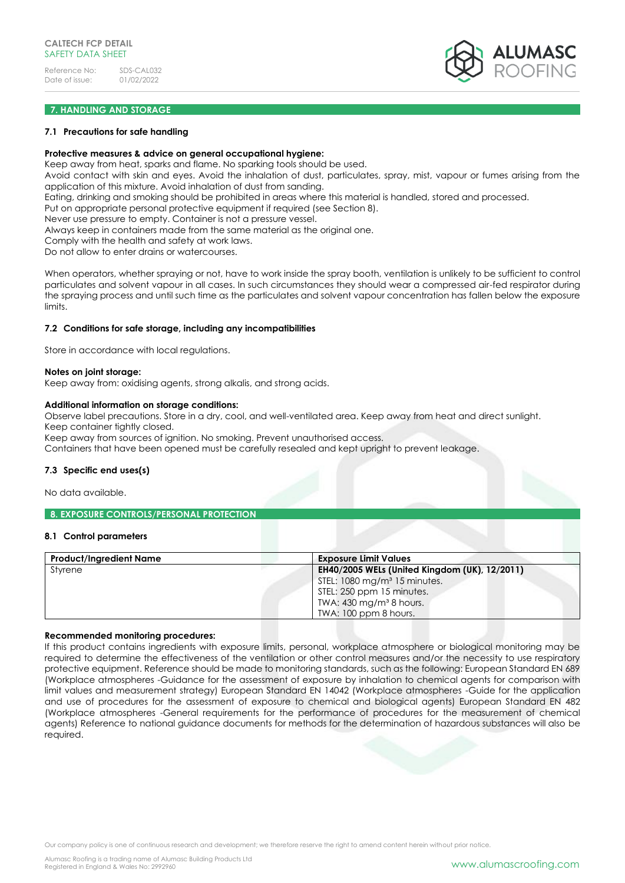

# **7. HANDLING AND STORAGE**

### **7.1 Precautions for safe handling**

#### **Protective measures & advice on general occupational hygiene:**

Keep away from heat, sparks and flame. No sparking tools should be used.

Avoid contact with skin and eyes. Avoid the inhalation of dust, particulates, spray, mist, vapour or fumes arising from the application of this mixture. Avoid inhalation of dust from sanding.

Eating, drinking and smoking should be prohibited in areas where this material is handled, stored and processed.

Put on appropriate personal protective equipment if required (see Section 8).

Never use pressure to empty. Container is not a pressure vessel.

Always keep in containers made from the same material as the original one.

Comply with the health and safety at work laws.

Do not allow to enter drains or watercourses.

When operators, whether spraying or not, have to work inside the spray booth, ventilation is unlikely to be sufficient to control particulates and solvent vapour in all cases. In such circumstances they should wear a compressed air-fed respirator during the spraying process and until such time as the particulates and solvent vapour concentration has fallen below the exposure limits.

#### **7.2 Conditions for safe storage, including any incompatibilities**

Store in accordance with local regulations.

#### **Notes on joint storage:**

Keep away from: oxidising agents, strong alkalis, and strong acids.

#### **Additional information on storage conditions:**

Observe label precautions. Store in a dry, cool, and well-ventilated area. Keep away from heat and direct sunlight.

Keep container tightly closed.

Keep away from sources of ignition. No smoking. Prevent unauthorised access.

Containers that have been opened must be carefully resealed and kept upright to prevent leakage.

# **7.3 Specific end uses(s)**

No data available.

#### **8. EXPOSURE CONTROLS/PERSONAL PROTECTION**

# **8.1 Control parameters**

| <b>Product/Ingredient Name</b> | <b>Exposure Limit Values</b>                  |
|--------------------------------|-----------------------------------------------|
| Styrene                        | EH40/2005 WELs (United Kingdom (UK), 12/2011) |
|                                | STEL: 1080 mg/m <sup>3</sup> 15 minutes.      |
|                                | STEL: 250 ppm 15 minutes.                     |
|                                | TWA: $430 \,\mathrm{mg/m^3}$ 8 hours.         |
|                                | TWA: 100 ppm 8 hours.                         |

#### **Recommended monitoring procedures:**

If this product contains ingredients with exposure limits, personal, workplace atmosphere or biological monitoring may be required to determine the effectiveness of the ventilation or other control measures and/or the necessity to use respiratory protective equipment. Reference should be made to monitoring standards, such as the following: European Standard EN 689 (Workplace atmospheres -Guidance for the assessment of exposure by inhalation to chemical agents for comparison with limit values and measurement strategy) European Standard EN 14042 (Workplace atmospheres -Guide for the application and use of procedures for the assessment of exposure to chemical and biological agents) European Standard EN 482 (Workplace atmospheres -General requirements for the performance of procedures for the measurement of chemical agents) Reference to national guidance documents for methods for the determination of hazardous substances will also be required.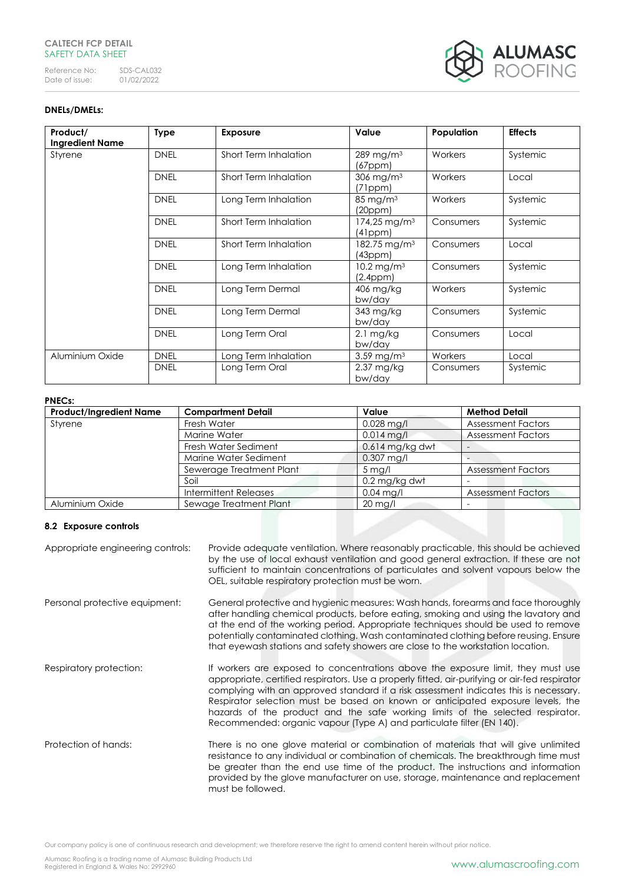# **CALTECH FCP DETAIL** SAFETY DATA SHEET

Reference No: SDS-CAL032<br>Date of issue: 01/02/2022 Date of issue:



# **DNELs/DMELs:**

| Product/<br><b>Ingredient Name</b> | <b>Type</b> | <b>Exposure</b>       | Value                                    | Population     | <b>Effects</b> |
|------------------------------------|-------------|-----------------------|------------------------------------------|----------------|----------------|
| Styrene                            | <b>DNEL</b> | Short Term Inhalation | 289 mg/m <sup>3</sup><br>$(67$ ppm $)$   | <b>Workers</b> | Systemic       |
|                                    | <b>DNEL</b> | Short Term Inhalation | $306$ mg/m <sup>3</sup><br>(71ppm)       | Workers        | Local          |
|                                    | <b>DNEL</b> | Long Term Inhalation  | $85 \text{ mg/m}^3$<br>(20ppm)           | Workers        | Systemic       |
|                                    | <b>DNEL</b> | Short Term Inhalation | 174,25 mg/m <sup>3</sup><br>(41ppm)      | Consumers      | Systemic       |
|                                    | <b>DNEL</b> | Short Term Inhalation | 182.75 mg/m <sup>3</sup><br>(43ppm)      | Consumers      | Local          |
|                                    | <b>DNEL</b> | Long Term Inhalation  | 10.2 mg/m <sup>3</sup><br>$(2.4$ ppm $)$ | Consumers      | Systemic       |
|                                    | <b>DNEL</b> | Long Term Dermal      | 406 mg/kg<br>bw/day                      | Workers        | Systemic       |
|                                    | <b>DNEL</b> | Long Term Dermal      | 343 mg/kg<br>bw/day                      | Consumers      | Systemic       |
|                                    | <b>DNEL</b> | Long Term Oral        | $2.1 \text{ mg/kg}$<br>bw/day            | Consumers      | Local          |
| Aluminium Oxide                    | <b>DNEL</b> | Long Term Inhalation  | $3.59$ mg/m <sup>3</sup>                 | Workers        | Local          |
|                                    | <b>DNEL</b> | Long Term Oral        | $2.37 \text{ mg/kg}$<br>bw/day           | Consumers      | Systemic       |

# **PNECs:**

| <b>Product/Ingredient Name</b> | <b>Compartment Detail</b> | Value               | <b>Method Detail</b>      |
|--------------------------------|---------------------------|---------------------|---------------------------|
| Styrene                        | Fresh Water               | $0.028$ mg/l        | <b>Assessment Factors</b> |
|                                | Marine Water              | $0.014$ mg/l        | <b>Assessment Factors</b> |
|                                | Fresh Water Sediment      | $0.614$ mg/kg dwt   |                           |
|                                | Marine Water Sediment     | $0.307$ mg/l        |                           |
|                                | Sewerage Treatment Plant  | $5 \,\mathrm{mg}/l$ | <b>Assessment Factors</b> |
|                                | Soil                      | 0.2 mg/kg dwt       |                           |
|                                | Intermittent Releases     | $0.04$ mg/l         | <b>Assessment Factors</b> |
| Aluminium Oxide                | Sewage Treatment Plant    | $20$ mg/l           |                           |

# **8.2 Exposure controls**

| Appropriate engineering controls: | Provide adequate ventilation. Where reasonably practicable, this should be achieved<br>by the use of local exhaust ventilation and good general extraction. If these are not<br>sufficient to maintain concentrations of particulates and solvent vapours below the<br>OEL, suitable respiratory protection must be worn.                                                                                                                                                                                                 |
|-----------------------------------|---------------------------------------------------------------------------------------------------------------------------------------------------------------------------------------------------------------------------------------------------------------------------------------------------------------------------------------------------------------------------------------------------------------------------------------------------------------------------------------------------------------------------|
| Personal protective equipment:    | General protective and hygienic measures: Wash hands, forearms and face thoroughly<br>after handling chemical products, before eating, smoking and using the lavatory and<br>at the end of the working period. Appropriate techniques should be used to remove<br>potentially contaminated clothing. Wash contaminated clothing before reusing. Ensure<br>that eyewash stations and safety showers are close to the workstation location.                                                                                 |
| Respiratory protection:           | If workers are exposed to concentrations above the exposure limit, they must use<br>appropriate, certified respirators. Use a properly fitted, air-purifying or air-fed respirator<br>complying with an approved standard if a risk assessment indicates this is necessary.<br>Respirator selection must be based on known or anticipated exposure levels, the<br>hazards of the product and the safe working limits of the selected respirator.<br>Recommended: organic vapour (Type A) and particulate filter (EN 140). |
| Protection of hands:              | There is no one glove material or combination of materials that will give unlimited<br>resistance to any individual or combination of chemicals. The breakthrough time must<br>be greater than the end use time of the product. The instructions and information<br>provided by the glove manufacturer on use, storage, maintenance and replacement<br>must be followed.                                                                                                                                                  |

Our company policy is one of continuous research and development; we therefore reserve the right to amend content herein without prior notice.

Alumasc Roofing is a trading name of Alumasc Building Products Ltd<br>Registered in England & Wales No: 2992960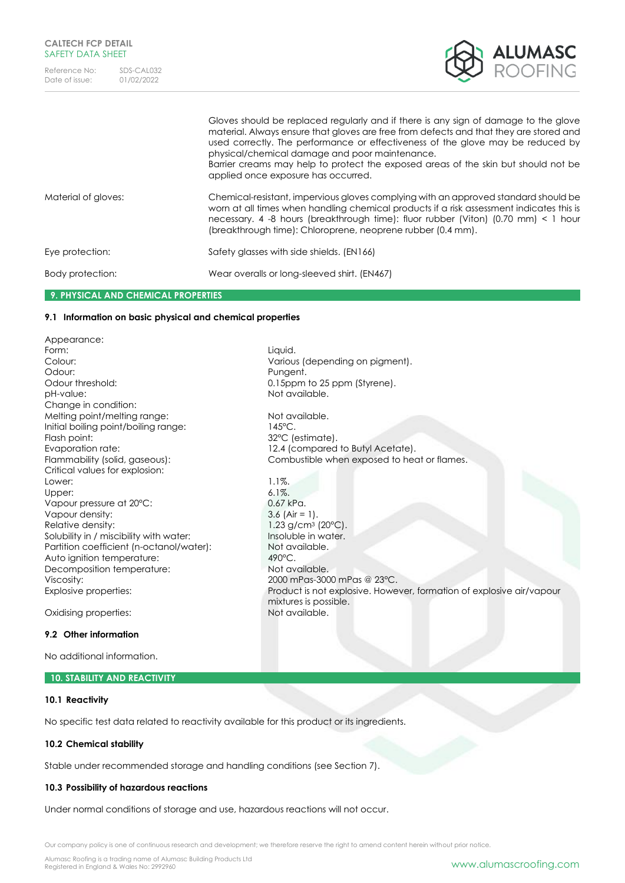

|                     | Gloves should be replaced regularly and if there is any sign of damage to the glove<br>material. Always ensure that gloves are free from defects and that they are stored and<br>used correctly. The performance or effectiveness of the glove may be reduced by<br>physical/chemical damage and poor maintenance.<br>Barrier creams may help to protect the exposed areas of the skin but should not be<br>applied once exposure has occurred. |
|---------------------|-------------------------------------------------------------------------------------------------------------------------------------------------------------------------------------------------------------------------------------------------------------------------------------------------------------------------------------------------------------------------------------------------------------------------------------------------|
| Material of gloves: | Chemical-resistant, impervious gloves complying with an approved standard should be<br>worn at all times when handling chemical products if a risk assessment indicates this is<br>necessary. 4 -8 hours (breakthrough time): fluor rubber (Viton) $(0.70 \text{ mm}) < 1$ hour<br>(breakthrough time): Chloroprene, neoprene rubber (0.4 mm).                                                                                                  |
| Eye protection:     | Safety glasses with side shields. (EN166)                                                                                                                                                                                                                                                                                                                                                                                                       |
| Body protection:    | Wear overalls or long-sleeved shirt. (EN467)                                                                                                                                                                                                                                                                                                                                                                                                    |

Pungent.

mixtures is possible.<br>Not available.

# **9. PHYSICAL AND CHEMICAL PROPERTIES**

# **9.1 Information on basic physical and chemical properties**

Appearance: Form: Liquid. Colour: Colour: Colour: Various (depending on pigment).<br>Colour: Colour: Pungent. Odour threshold: 0.15ppm to 25 ppm (Styrene). pH-value: Not available. Change in condition: Melting point/melting range: Not available. Initial boiling point/boiling range: 145°C. Flash point: 32°C (estimate). Evaporation rate: 12.4 (compared to Butyl Acetate). Flammability (solid, gaseous): Combustible when exposed to heat or flames. Critical values for explosion: Lower: 1.1%. Upper: 6.1%. Vapour pressure at 20°C: 0.67 kPa. Vapour density: 3.6 (Air = 1). Relative density:  $1.23 \text{ g/cm}^3 \text{ (20°C)}$ .<br>Solubility in / miscibility with water:  $1.23 \text{ g/cm}^3 \text{ (20°C)}$ . Solubility in / miscibility with water: Partition coefficient (n-octanol/water): Not available. Auto ignition temperature: 490°C. Decomposition temperature: Not available. Viscosity: 2000 mPas-3000 mPas @ 23°C. Explosive properties: Product is not explosive. However, formation of explosive air/vapour

Oxidising properties:

# **9.2 Other information**

No additional information.

#### **10. STABILITY AND REACTIVITY**

# **10.1 Reactivity**

No specific test data related to reactivity available for this product or its ingredients.

# **10.2 Chemical stability**

Stable under recommended storage and handling conditions (see Section 7).

# **10.3 Possibility of hazardous reactions**

Under normal conditions of storage and use, hazardous reactions will not occur.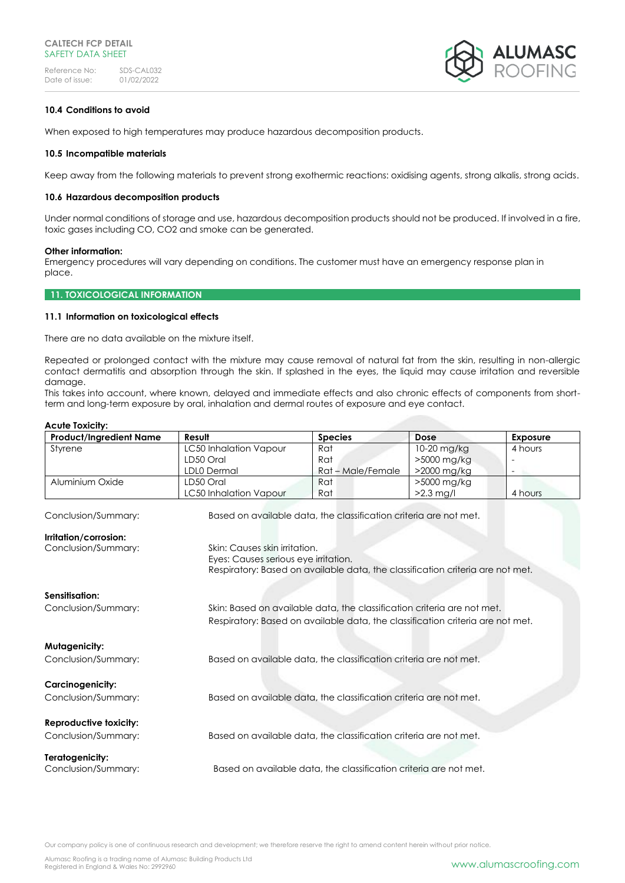

# **10.4 Conditions to avoid**

When exposed to high temperatures may produce hazardous decomposition products.

### **10.5 Incompatible materials**

Keep away from the following materials to prevent strong exothermic reactions: oxidising agents, strong alkalis, strong acids.

### **10.6 Hazardous decomposition products**

Under normal conditions of storage and use, hazardous decomposition products should not be produced. If involved in a fire, toxic gases including CO, CO2 and smoke can be generated.

#### **Other information:**

Emergency procedures will vary depending on conditions. The customer must have an emergency response plan in place.

# **11. TOXICOLOGICAL INFORMATION**

# **11.1 Information on toxicological effects**

There are no data available on the mixture itself.

Repeated or prolonged contact with the mixture may cause removal of natural fat from the skin, resulting in non-allergic contact dermatitis and absorption through the skin. If splashed in the eyes, the liquid may cause irritation and reversible damage.

This takes into account, where known, delayed and immediate effects and also chronic effects of components from shortterm and long-term exposure by oral, inhalation and dermal routes of exposure and eye contact.

| <b>Acute Toxicity:</b>                                                         |                                      |                                                                                |             |                 |
|--------------------------------------------------------------------------------|--------------------------------------|--------------------------------------------------------------------------------|-------------|-----------------|
| <b>Product/Ingredient Name</b>                                                 | Result                               | <b>Species</b>                                                                 | Dose        | <b>Exposure</b> |
| Styrene                                                                        | <b>LC50 Inhalation Vapour</b>        | Rat                                                                            | 10-20 mg/kg | 4 hours         |
|                                                                                | LD50 Oral                            | Rat                                                                            | >5000 mg/kg |                 |
|                                                                                | LDL0 Dermal                          | Rat - Male/Female                                                              | >2000 mg/kg |                 |
| Aluminium Oxide                                                                | LD50 Oral                            | Rat                                                                            | >5000 mg/kg |                 |
|                                                                                | LC50 Inhalation Vapour               | Rat                                                                            | $>2.3$ mg/l | 4 hours         |
| Conclusion/Summary:                                                            |                                      | Based on available data, the classification criteria are not met.              |             |                 |
| Irritation/corrosion:                                                          |                                      |                                                                                |             |                 |
| Conclusion/Summary:                                                            | Skin: Causes skin irritation.        |                                                                                |             |                 |
|                                                                                | Eyes: Causes serious eye irritation. |                                                                                |             |                 |
|                                                                                |                                      | Respiratory: Based on available data, the classification criteria are not met. |             |                 |
|                                                                                |                                      |                                                                                |             |                 |
| Sensitisation:                                                                 |                                      |                                                                                |             |                 |
| Conclusion/Summary:                                                            |                                      | Skin: Based on available data, the classification criteria are not met.        |             |                 |
| Respiratory: Based on available data, the classification criteria are not met. |                                      |                                                                                |             |                 |
|                                                                                |                                      |                                                                                |             |                 |
| Mutagenicity:                                                                  |                                      |                                                                                |             |                 |
| Conclusion/Summary:                                                            |                                      | Based on available data, the classification criteria are not met.              |             |                 |
|                                                                                |                                      |                                                                                |             |                 |
|                                                                                |                                      |                                                                                |             |                 |
| <b>Carcinogenicity:</b>                                                        |                                      |                                                                                |             |                 |
| Conclusion/Summary:                                                            |                                      | Based on available data, the classification criteria are not met.              |             |                 |
|                                                                                |                                      |                                                                                |             |                 |
| Reproductive toxicity:                                                         |                                      |                                                                                |             |                 |
| Conclusion/Summary:                                                            |                                      | Based on available data, the classification criteria are not met.              |             |                 |
|                                                                                |                                      |                                                                                |             |                 |
| Teratogenicity:                                                                |                                      |                                                                                |             |                 |
| Conclusion/Summary:                                                            |                                      | Based on available data, the classification criteria are not met.              |             |                 |
|                                                                                |                                      |                                                                                |             |                 |

Our company policy is one of continuous research and development; we therefore reserve the right to amend content herein without prior notice.

Alumasc Roofing is a trading name of Alumasc Building Products Ltd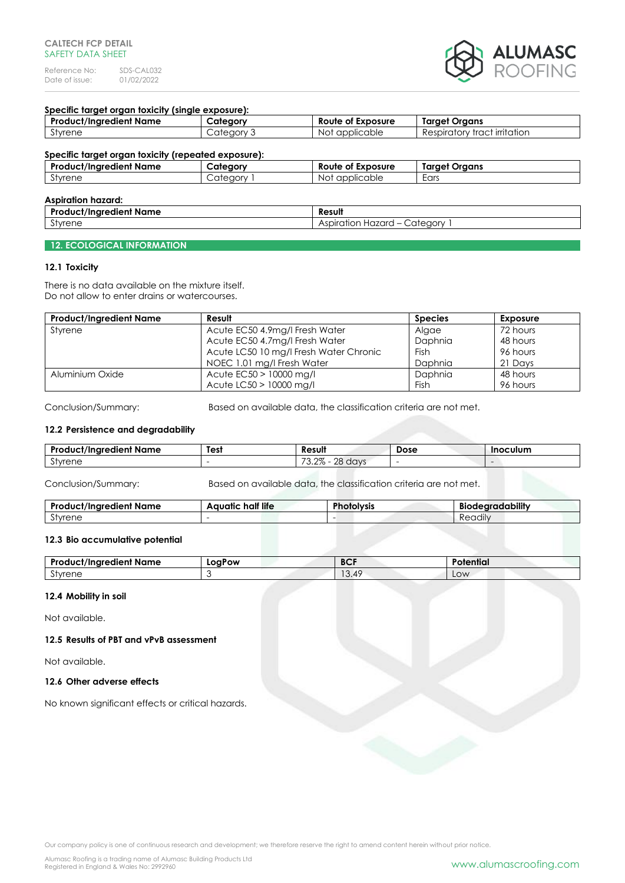

# **Specific target organ toxicity (single exposure):**

| <b>Product/Ingredient Name</b> | Category   | Route of Exposure | <b>Target Organs</b>         |
|--------------------------------|------------|-------------------|------------------------------|
| Styrene                        | Category 3 | Not applicable    | Respiratory tract irritation |
|                                |            |                   |                              |

# **Specific target organ toxicity (repeated exposure): Product/Ingredient Name Category Route of Exposure Target Organs** Styrene Category 1 Not applicable Ears

| <b>Aspiration hazard:</b>      |                                                                     |  |
|--------------------------------|---------------------------------------------------------------------|--|
| <b>Product/Ingredient Name</b> | Result                                                              |  |
| $\sim$<br>Styrene              | Category<br><b>Hazard</b><br>Aspiration<br>$\overline{\phantom{0}}$ |  |

### **12. ECOLOGICAL INFORMATION**

#### **12.1 Toxicity**

There is no data available on the mixture itself. Do not allow to enter drains or watercourses.

| <b>Product/Ingredient Name</b> | Result                                 | <b>Species</b> | Exposure |
|--------------------------------|----------------------------------------|----------------|----------|
| Styrene                        | Acute EC50 4.9mg/l Fresh Water         | Algae          | 72 hours |
|                                | Acute EC50 4.7mg/l Fresh Water         | Daphnia        | 48 hours |
|                                | Acute LC50 10 mg/l Fresh Water Chronic | Fish           | 96 hours |
|                                | NOEC 1.01 mg/l Fresh Water             | Daphnia        | 21 Davs  |
| Aluminium Oxide                | Acute $EC50 > 10000$ mg/l              | <b>Daphnia</b> | 48 hours |
|                                | Acute LC50 > 10000 mg/l                | Fish           | 96 hours |

Conclusion/Summary: Based on available data, the classification criteria are not met.

# **12.2 Persistence and degradability**

| $\bullet$<br><b>Product/Ingredient Name</b> | Test | Result                                                          | Dose | <b>Inoculum</b> |
|---------------------------------------------|------|-----------------------------------------------------------------|------|-----------------|
| $\sim$<br>stvrene                           |      | $\overline{\phantom{a}}$<br>റഗ<br>ററ<br>davs<br>∠O 1<br>` ∪.∠/ເ |      |                 |

Conclusion/Summary: Based on available data, the classification criteria are not met.

| Pro<br>edient Name<br>ct/Inare:<br>٦UC. | half life<br>Aquatic | <b>DL</b><br><b>NYSIS</b> | adability<br><b>Bioc</b><br>. TP<br>nı |
|-----------------------------------------|----------------------|---------------------------|----------------------------------------|
| $\sim$<br>Styrene                       |                      |                           | $\cdots$<br>-<br><b>Readily</b>        |

#### **12.3 Bio accumulative potential**

| $\bullet$<br>Product/Ingredient Name | LogPow | <b>BCF</b> | Potential |
|--------------------------------------|--------|------------|-----------|
| $\sim$<br>stvrene                    |        | 13.49      | Low       |

# **12.4 Mobility in soil**

Not available.

**12.5 Results of PBT and vPvB assessment**

Not available.

### **12.6 Other adverse effects**

No known significant effects or critical hazards.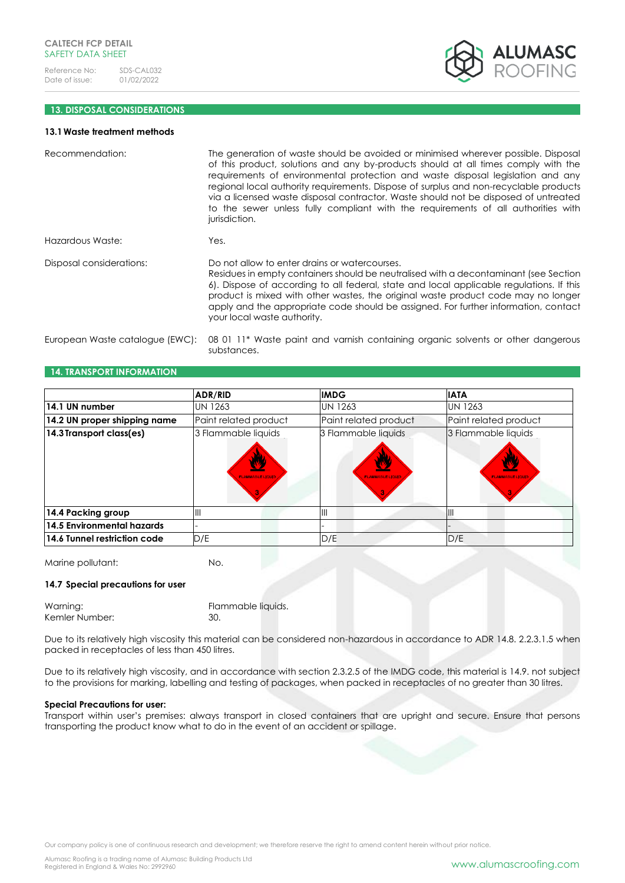

# **13. DISPOSAL CONSIDERATIONS**

#### **13.1Waste treatment methods**

| Recommendation:                 | The generation of waste should be avoided or minimised wherever possible. Disposal<br>of this product, solutions and any by-products should at all times comply with the<br>requirements of environmental protection and waste disposal legislation and any<br>regional local authority requirements. Dispose of surplus and non-recyclable products<br>via a licensed waste disposal contractor. Waste should not be disposed of untreated<br>to the sewer unless fully compliant with the requirements of all authorities with<br>jurisdiction. |
|---------------------------------|---------------------------------------------------------------------------------------------------------------------------------------------------------------------------------------------------------------------------------------------------------------------------------------------------------------------------------------------------------------------------------------------------------------------------------------------------------------------------------------------------------------------------------------------------|
| Hazardous Waste:                | Yes.                                                                                                                                                                                                                                                                                                                                                                                                                                                                                                                                              |
| Disposal considerations:        | Do not allow to enter drains or watercourses.<br>Residues in empty containers should be neutralised with a decontaminant (see Section<br>6). Dispose of according to all federal, state and local applicable regulations. If this<br>product is mixed with other wastes, the original waste product code may no longer<br>apply and the appropriate code should be assigned. For further information, contact<br>your local waste authority.                                                                                                      |
| European Waste catalogue (EWC): | 08 01 11* Waste paint and varnish containing organic solvents or other dangerous<br>substances.                                                                                                                                                                                                                                                                                                                                                                                                                                                   |

### **14. TRANSPORT INFORMATION**

|                                   | <b>ADR/RID</b>                               | <b>IMDG</b>                                  | <b>IATA</b>                                  |
|-----------------------------------|----------------------------------------------|----------------------------------------------|----------------------------------------------|
| 14.1 UN number                    | <b>UN 1263</b>                               | <b>UN 1263</b>                               | <b>UN 1263</b>                               |
| 14.2 UN proper shipping name      | Paint related product                        | Paint related product                        | Paint related product                        |
| 14.3 Transport class(es)          | 3 Flammable liquids<br><b>FLAMMABLE LIQU</b> | 3 Flammable liquids<br><b>FLAMMABLE LIQU</b> | 3 Flammable liquids<br><b>FLAMMABLE LIQU</b> |
| 14.4 Packing group                | IШ                                           | IШ                                           | Ш                                            |
| <b>14.5 Environmental hazards</b> |                                              |                                              |                                              |
| 14.6 Tunnel restriction code      | D/E                                          | D/E                                          | D/E                                          |

Marine pollutant: No.

### **14.7 Special precautions for user**

| Warning:       | Flammable liquids. |
|----------------|--------------------|
| Kemler Number: | -30.               |

Due to its relatively high viscosity this material can be considered non-hazardous in accordance to ADR 14.8. 2.2.3.1.5 when packed in receptacles of less than 450 litres.

Due to its relatively high viscosity, and in accordance with section 2.3.2.5 of the IMDG code, this material is 14.9. not subject to the provisions for marking, labelling and testing of packages, when packed in receptacles of no greater than 30 litres.

# **Special Precautions for user:**

Transport within user's premises: always transport in closed containers that are upright and secure. Ensure that persons transporting the product know what to do in the event of an accident or spillage.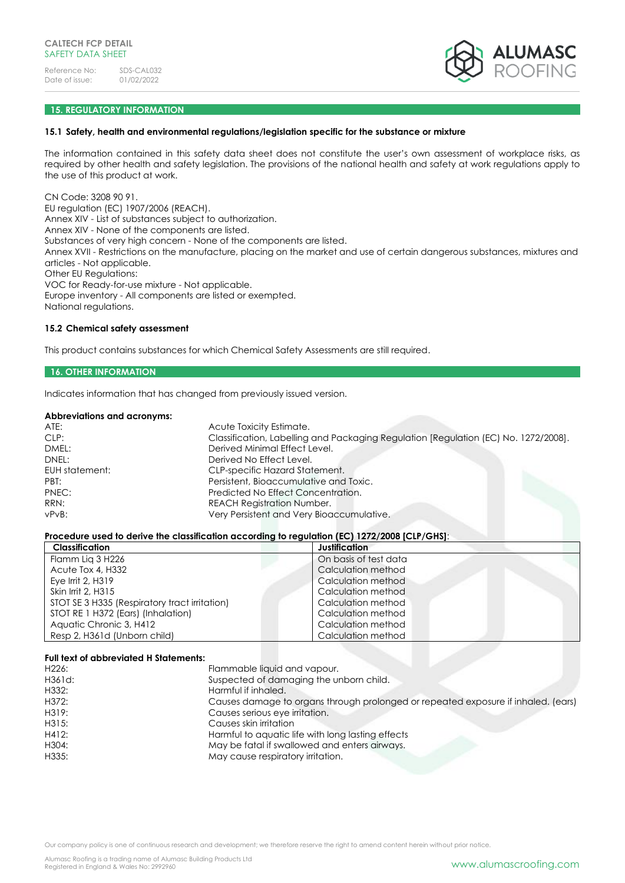

# **15. REGULATORY INFORMATION**

### **15.1 Safety, health and environmental regulations/legislation specific for the substance or mixture**

The information contained in this safety data sheet does not constitute the user's own assessment of workplace risks, as required by other health and safety legislation. The provisions of the national health and safety at work regulations apply to the use of this product at work.

CN Code: 3208 90 91. EU regulation (EC) 1907/2006 (REACH). Annex XIV - List of substances subject to authorization. Annex XIV - None of the components are listed. Substances of very high concern - None of the components are listed. Annex XVII - Restrictions on the manufacture, placing on the market and use of certain dangerous substances, mixtures and articles - Not applicable. Other EU Regulations: VOC for Ready-for-use mixture - Not applicable. Europe inventory - All components are listed or exempted. National regulations.

#### **15.2 Chemical safety assessment**

This product contains substances for which Chemical Safety Assessments are still required.

# **16. OTHER INFORMATION**

Indicates information that has changed from previously issued version.

#### **Abbreviations and acronyms:**

| ATE:           | Acute Toxicity Estimate.                                                            |
|----------------|-------------------------------------------------------------------------------------|
| CLP:           | Classification, Labelling and Packaging Regulation [Regulation (EC) No. 1272/2008]. |
| DMEL:          | Derived Minimal Effect Level.                                                       |
| DNEL:          | Derived No Effect Level.                                                            |
| EUH statement: | CLP-specific Hazard Statement.                                                      |
| PBT:           | Persistent, Bioaccumulative and Toxic.                                              |
| PNEC:          | Predicted No Effect Concentration.                                                  |
| RRN:           | <b>REACH Registration Number.</b>                                                   |
| vPvB:          | Very Persistent and Very Bioaccumulative.                                           |
|                |                                                                                     |

#### **Procedure used to derive the classification according to regulation (EC) 1272/2008 [CLP/GHS]**:

| Classification                                | Justification         |
|-----------------------------------------------|-----------------------|
| Flamm Lig 3 H226                              | On basis of test data |
| Acute Tox 4, H332                             | Calculation method    |
| Eye Irrit $2, H319$                           | Calculation method    |
| Skin Irrit 2, H315                            | Calculation method    |
| STOT SE 3 H335 (Respiratory tract irritation) | Calculation method    |
| STOT RE 1 H372 (Ears) (Inhalation)            | Calculation method    |
| Aquatic Chronic 3, H412                       | Calculation method    |
| Resp 2, H361d (Unborn child)                  | Calculation method    |

#### **Full text of abbreviated H Statements:**

| H <sub>226</sub> : | Flammable liquid and vapour.                                                      |
|--------------------|-----------------------------------------------------------------------------------|
| H361d:             | Suspected of damaging the unborn child.                                           |
| H332:              | Harmful if inhaled.                                                               |
| H372:              | Causes damage to organs through prolonged or repeated exposure if inhaled. (ears) |
| H319:              | Causes serious eye irritation.                                                    |
| H315:              | Causes skin irritation                                                            |
| H412:              | Harmful to aquatic life with long lasting effects                                 |
| H304:              | May be fatal if swallowed and enters airways.                                     |
| H335:              | May cause respiratory irritation.                                                 |